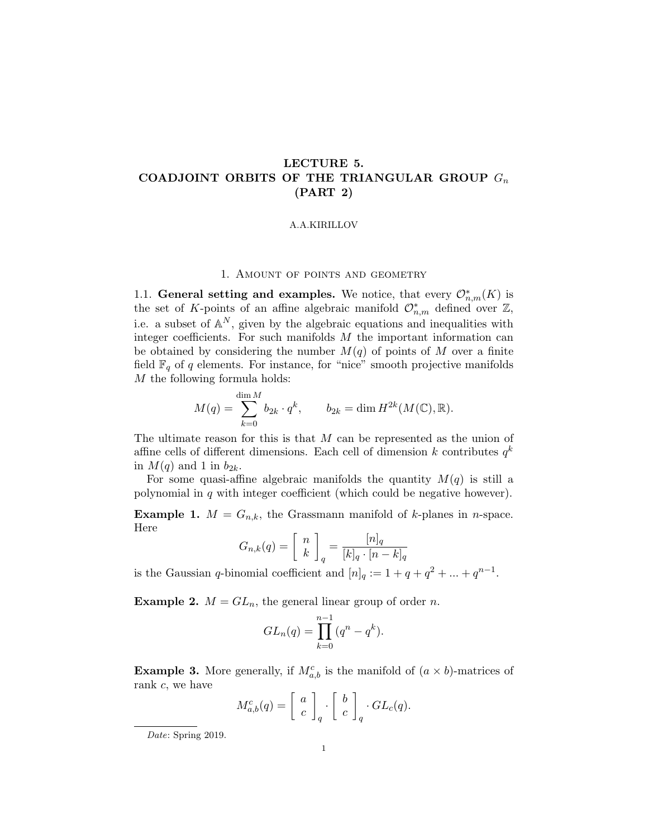# LECTURE 5. COADJOINT ORBITS OF THE TRIANGULAR GROUP  $G_n$ (PART 2)

# A.A.KIRILLOV

# 1. Amount of points and geometry

1.1. General setting and examples. We notice, that every  $\mathcal{O}_{n,m}^*(K)$  is the set of K-points of an affine algebraic manifold  $\mathcal{O}_{n,m}^*$  defined over  $\mathbb{Z}$ , i.e. a subset of  $\mathbb{A}^N$ , given by the algebraic equations and inequalities with integer coefficients. For such manifolds  $M$  the important information can be obtained by considering the number  $M(q)$  of points of M over a finite field  $\mathbb{F}_q$  of q elements. For instance, for "nice" smooth projective manifolds M the following formula holds:

$$
M(q) = \sum_{k=0}^{\dim M} b_{2k} \cdot q^k, \qquad b_{2k} = \dim H^{2k}(M(\mathbb{C}), \mathbb{R}).
$$

The ultimate reason for this is that  $M$  can be represented as the union of affine cells of different dimensions. Each cell of dimension k contributes  $q^k$ in  $M(q)$  and 1 in  $b_{2k}$ .

For some quasi-affine algebraic manifolds the quantity  $M(q)$  is still a polynomial in  $q$  with integer coefficient (which could be negative however).

**Example 1.**  $M = G_{n,k}$ , the Grassmann manifold of k-planes in n-space. Here

$$
G_{n,k}(q) = \left[ \begin{array}{c} n \\ k \end{array} \right]_q = \frac{[n]_q}{[k]_q \cdot [n-k]_q}
$$

is the Gaussian q-binomial coefficient and  $[n]_q := 1 + q + q^2 + ... + q^{n-1}$ .

**Example 2.**  $M = GL_n$ , the general linear group of order n.

$$
GL_n(q) = \prod_{k=0}^{n-1} (q^n - q^k).
$$

**Example 3.** More generally, if  $M_{a,b}^c$  is the manifold of  $(a \times b)$ -matrices of rank c, we have

$$
M_{a,b}^c(q) = \left[ \begin{array}{c} a \\ c \end{array} \right]_q \cdot \left[ \begin{array}{c} b \\ c \end{array} \right]_q \cdot GL_c(q).
$$

Date: Spring 2019.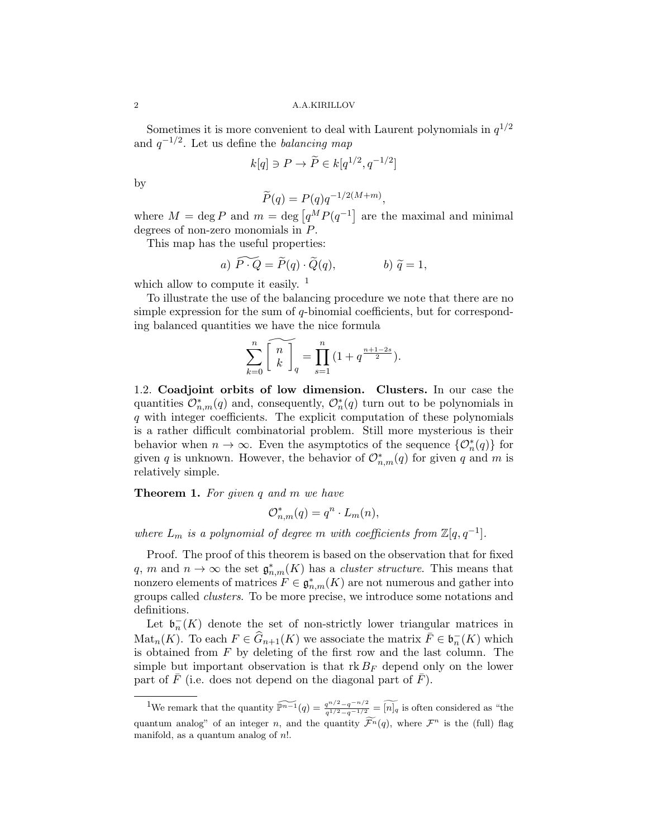Sometimes it is more convenient to deal with Laurent polynomials in  $q^{1/2}$ and  $q^{-1/2}$ . Let us define the *balancing map* 

$$
k[q] \ni P \to \widetilde{P} \in k[q^{1/2}, q^{-1/2}]
$$

by

$$
\widetilde{P}(q) = P(q)q^{-1/2(M+m)},
$$

where  $M = \deg P$  and  $m = \deg [q^M P(q^{-1}]$  are the maximal and minimal degrees of non-zero monomials in P.

This map has the useful properties:

a) 
$$
\widetilde{P \cdot Q} = \widetilde{P}(q) \cdot \widetilde{Q}(q)
$$
,   
b)  $\widetilde{q} = 1$ ,

which allow to compute it easily.  $\frac{1}{1}$ 

To illustrate the use of the balancing procedure we note that there are no simple expression for the sum of  $q$ -binomial coefficients, but for corresponding balanced quantities we have the nice formula

$$
\sum_{k=0}^{n} \widetilde{\left\lfloor \begin{array}{c} n \\ k \end{array} \right\rfloor_q} = \prod_{s=1}^{n} \left( 1 + q^{\frac{n+1-2s}{2}} \right).
$$

1.2. Coadjoint orbits of low dimension. Clusters. In our case the quantities  $\mathcal{O}_{n,m}^*(q)$  and, consequently,  $\mathcal{O}_n^*(q)$  turn out to be polynomials in q with integer coefficients. The explicit computation of these polynomials is a rather difficult combinatorial problem. Still more mysterious is their behavior when  $n \to \infty$ . Even the asymptotics of the sequence  $\{\mathcal{O}_n^*(q)\}\$ for given q is unknown. However, the behavior of  $\mathcal{O}_{n,m}^*(q)$  for given q and m is relatively simple.

# **Theorem 1.** For given q and m we have

$$
\mathcal{O}_{n,m}^*(q) = q^n \cdot L_m(n),
$$

where  $L_m$  is a polynomial of degree m with coefficients from  $\mathbb{Z}[q, q^{-1}]$ .

Proof. The proof of this theorem is based on the observation that for fixed q, m and  $n \to \infty$  the set  $\mathfrak{g}_{n,m}^*(K)$  has a *cluster structure*. This means that nonzero elements of matrices  $F \in \mathfrak{g}^*_{n,m}(K)$  are not numerous and gather into groups called clusters. To be more precise, we introduce some notations and definitions.

Let  $\mathfrak{b}_n^{-}(K)$  denote the set of non-strictly lower triangular matrices in Mat<sub>n</sub> $(K)$ . To each  $F \in \widehat{G}_{n+1}(K)$  we associate the matrix  $\overline{F} \in \mathfrak{b}_n^-(K)$  which is obtained from  $F$  by deleting of the first row and the last column. The simple but important observation is that  $\text{rk }B_F$  depend only on the lower part of  $F$  (i.e. does not depend on the diagonal part of  $F$ ).

<sup>&</sup>lt;sup>1</sup>We remark that the quantity  $\widetilde{\mathbb{P}_{n-1}}(q) = \frac{q^{n/2}-q^{-n/2}}{q^{1/2}-q^{-1/2}} = \widetilde{[n]_q}$  is often considered as "the quantum analog" of an integer n, and the quantity  $\widetilde{\mathcal{F}}^n(q)$ , where  $\mathcal{F}^n$  is the (full) flag manifold, as a quantum analog of  $n!$ .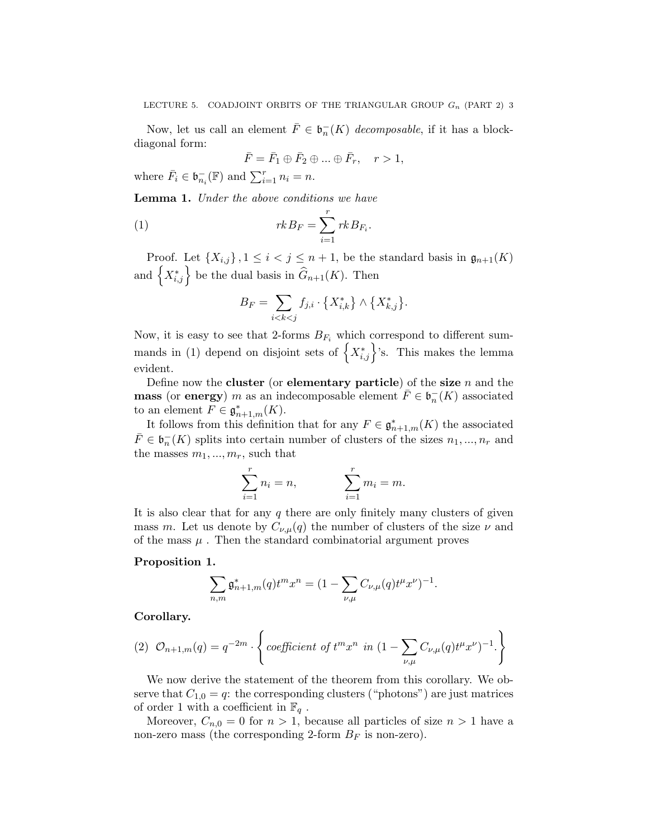Now, let us call an element  $\overline{F} \in \mathfrak{b}_n^{-1}(K)$  decomposable, if it has a blockdiagonal form:

$$
\bar{F} = \bar{F}_1 \oplus \bar{F}_2 \oplus \dots \oplus \bar{F}_r, \quad r > 1,
$$

where  $\bar{F}_i \in \mathfrak{b}_{n_i}^-(\mathbb{F})$  and  $\sum_{i=1}^r n_i = n$ .

Lemma 1. Under the above conditions we have

(1) 
$$
rkB_F = \sum_{i=1}^r rkB_{F_i}.
$$

Proof. Let  $\{X_{i,j}\}\,$ ,  $1 \leq i < j \leq n+1$ , be the standard basis in  $\mathfrak{g}_{n+1}(K)$ and  $\left\{X^*_{i,j}\right\}$  be the dual basis in  $\widehat{G}_{n+1}(K)$ . Then

$$
B_F=\sum_{i
$$

Now, it is easy to see that 2-forms  $B_{F_i}$  which correspond to different summands in (1) depend on disjoint sets of  $\left\{X_{i,j}^*\right\}$ 's. This makes the lemma evident.

Define now the cluster (or elementary particle) of the size  $n$  and the **mass** (or **energy**) m as an indecomposable element  $\overline{F} \in \mathfrak{b}_n^- (K)$  associated to an element  $F \in \mathfrak{g}_{n+1,m}^*(K)$ .

It follows from this definition that for any  $F \in \mathfrak{g}_{n+1,m}^*(K)$  the associated  $\bar{F} \in \mathfrak{b}_n^{-1}(K)$  splits into certain number of clusters of the sizes  $n_1, ..., n_r$  and the masses  $m_1, ..., m_r$ , such that

$$
\sum_{i=1}^{r} n_i = n, \qquad \sum_{i=1}^{r} m_i = m.
$$

It is also clear that for any  $q$  there are only finitely many clusters of given mass m. Let us denote by  $C_{\nu,\mu}(q)$  the number of clusters of the size  $\nu$  and of the mass  $\mu$ . Then the standard combinatorial argument proves

## Proposition 1.

$$
\sum_{n,m} \mathfrak{g}_{n+1,m}^*(q) t^m x^n = (1 - \sum_{\nu,\mu} C_{\nu,\mu}(q) t^{\mu} x^{\nu})^{-1}.
$$

Corollary.

(2) 
$$
\mathcal{O}_{n+1,m}(q) = q^{-2m} \cdot \left\{ \text{coefficient of } t^m x^n \text{ in } (1 - \sum_{\nu,\mu} C_{\nu,\mu}(q) t^{\mu} x^{\nu})^{-1} \right\}
$$

We now derive the statement of the theorem from this corollary. We observe that  $C_{1,0} = q$ : the corresponding clusters ("photons") are just matrices of order 1 with a coefficient in  $\mathbb{F}_q$ .

Moreover,  $C_{n,0} = 0$  for  $n > 1$ , because all particles of size  $n > 1$  have a non-zero mass (the corresponding 2-form  $B_F$  is non-zero).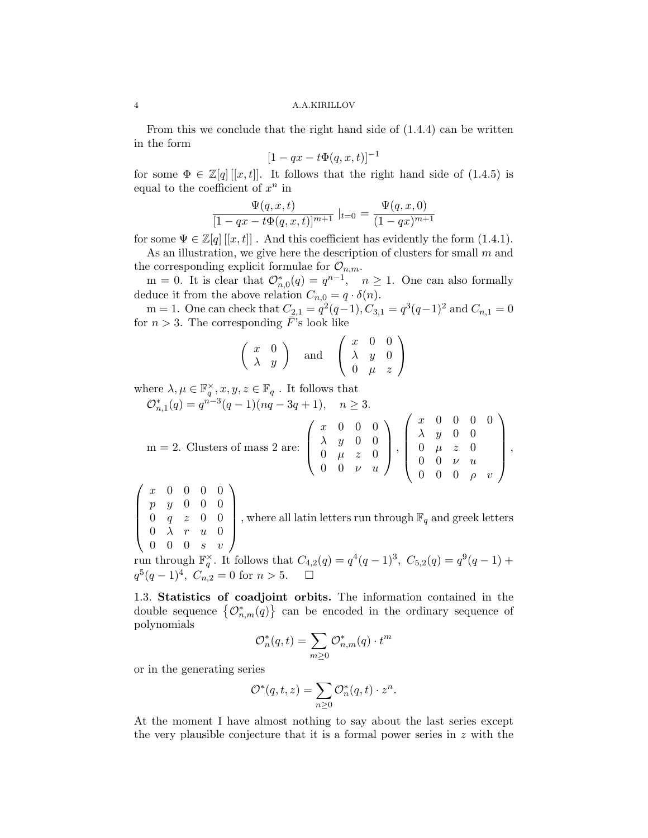From this we conclude that the right hand side of (1.4.4) can be written in the form

$$
[1-qx-t\Phi(q,x,t)]^{-1}
$$

for some  $\Phi \in \mathbb{Z}[q][x,t]$ . It follows that the right hand side of (1.4.5) is equal to the coefficient of  $x^n$  in

$$
\frac{\Psi(q, x, t)}{[1 - qx - t\Phi(q, x, t)]^{m+1}}|_{t=0} = \frac{\Psi(q, x, 0)}{(1 - qx)^{m+1}}
$$

for some  $\Psi \in \mathbb{Z}[q][x,t]$ . And this coefficient has evidently the form (1.4.1).

As an illustration, we give here the description of clusters for small  $m$  and the corresponding explicit formulae for  $\mathcal{O}_{n,m}$ .

m = 0. It is clear that  $\mathcal{O}_{n,0}^*(q) = q^{n-1}$ ,  $n \ge 1$ . One can also formally deduce it from the above relation  $C_{n,0} = q \cdot \delta(n)$ .

m = 1. One can check that  $C_{2,1} = q^2(q-1), C_{3,1} = q^3(q-1)^2$  and  $C_{n,1} = 0$ for  $n > 3$ . The corresponding  $\bar{F}$ 's look like

$$
\left(\begin{array}{cc} x & 0 \\ \lambda & y \end{array}\right) \quad \text{and} \quad \left(\begin{array}{ccc} x & 0 & 0 \\ \lambda & y & 0 \\ 0 & \mu & z \end{array}\right)
$$

where  $\lambda, \mu \in \mathbb{F}_q^{\times}, x, y, z \in \mathbb{F}_q$ . It follows that

 $\mathcal{O}_{n,1}^*(q) = q^{n-3}(q-1)(nq-3q+1), \quad n \geq 3.$ 

$$
m = 2. Clusters of mass 2 are: \begin{pmatrix} x & 0 & 0 & 0 \\ \lambda & y & 0 & 0 \\ 0 & \mu & z & 0 \\ 0 & 0 & \nu & u \end{pmatrix}, \begin{pmatrix} x & 0 & 0 & 0 & 0 \\ \lambda & y & 0 & 0 & 0 \\ 0 & \mu & z & 0 & 0 \\ 0 & 0 & \nu & u & 0 \\ 0 & 0 & 0 & \rho & v \end{pmatrix},
$$

 $\sqrt{ }$  $\overline{\phantom{a}}$ x 0 0 0 0 p y 0 0 0  $0 \quad q \quad z \quad 0 \quad 0$  $0 \lambda r u 0$  $0 \quad 0 \quad 0 \quad s \quad v$  $\setminus$ , where all latin letters run through  $\mathbb{F}_q$  and greek letters

run through  $\mathbb{F}_q^{\times}$ . It follows that  $C_{4,2}(q) = q^4(q-1)^3$ ,  $C_{5,2}(q) = q^9(q-1) +$  $q^5(q-1)^4$ ,  $C_{n,2} = 0$  for  $n > 5$ .  $\Box$ 

1.3. Statistics of coadjoint orbits. The information contained in the double sequence  ${ \mathcal{O}_{n,m}^*(q) }$  can be encoded in the ordinary sequence of polynomials

$$
\mathcal{O}_n^*(q,t) = \sum_{m \geq 0} \mathcal{O}_{n,m}^*(q) \cdot t^m
$$

or in the generating series

$$
\mathcal{O}^*(q,t,z) = \sum_{n\geq 0} \mathcal{O}_n^*(q,t) \cdot z^n.
$$

At the moment I have almost nothing to say about the last series except the very plausible conjecture that it is a formal power series in  $z$  with the

$$
4\,
$$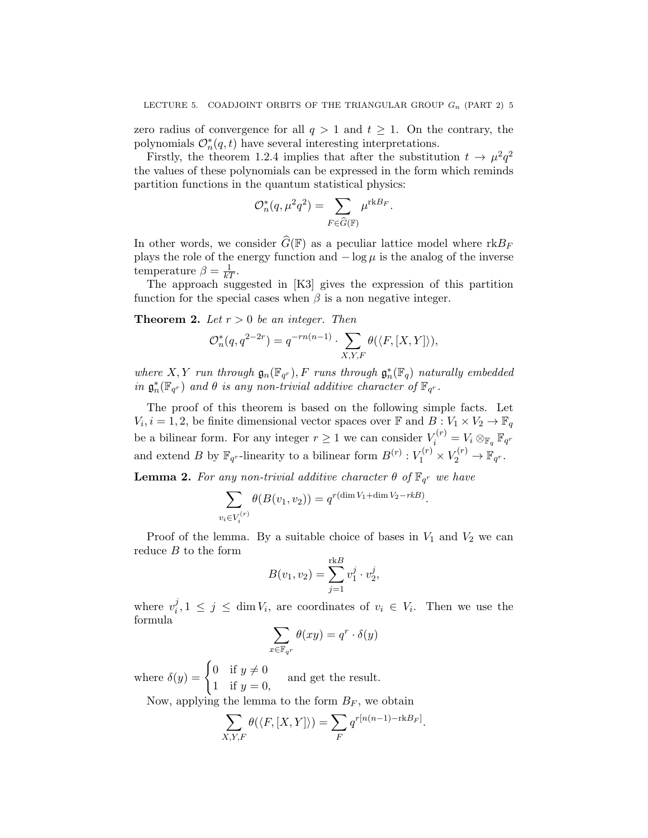zero radius of convergence for all  $q > 1$  and  $t \geq 1$ . On the contrary, the polynomials  $\mathcal{O}_n^*(q,t)$  have several interesting interpretations.

Firstly, the theorem 1.2.4 implies that after the substitution  $t \to \mu^2 q^2$ the values of these polynomials can be expressed in the form which reminds partition functions in the quantum statistical physics:

$$
\mathcal{O}_n^*(q, \mu^2 q^2) = \sum_{F \in \widehat{G}(\mathbb{F})} \mu^{\text{rk}B_F}.
$$

In other words, we consider  $\widehat{G}(\mathbb{F})$  as a peculiar lattice model where  $\text{rk} B_F$ plays the role of the energy function and  $-\log \mu$  is the analog of the inverse temperature  $\beta = \frac{1}{kT}$ .

The approach suggested in [K3] gives the expression of this partition function for the special cases when  $\beta$  is a non negative integer.

**Theorem 2.** Let  $r > 0$  be an integer. Then

$$
\mathcal{O}_n^*(q, q^{2-2r}) = q^{-rn(n-1)} \cdot \sum_{X,Y,F} \theta(\langle F, [X,Y] \rangle),
$$

where X, Y run through  $\mathfrak{g}_n(\mathbb{F}_{q^r}), F$  runs through  $\mathfrak{g}_n^*(\mathbb{F}_q)$  naturally embedded in  $\mathfrak{g}^*_n(\mathbb{F}_{q^r})$  and  $\theta$  is any non-trivial additive character of  $\mathbb{F}_{q^r}$ .

The proof of this theorem is based on the following simple facts. Let  $V_i, i = 1, 2$ , be finite dimensional vector spaces over  $\mathbb{F}$  and  $B: V_1 \times V_2 \to \mathbb{F}_q$ be a bilinear form. For any integer  $r \geq 1$  we can consider  $V_i^{(r)} = V_i \otimes_{\mathbb{F}_q} \mathbb{F}_{q^r}$ and extend B by  $\mathbb{F}_{q^r}$ -linearity to a bilinear form  $B^{(r)}: V_1^{(r)} \times V_2^{(r)} \to \mathbb{F}_{q^r}$ .

**Lemma 2.** For any non-trivial additive character  $\theta$  of  $\mathbb{F}_{q^r}$  we have

$$
\sum_{v_i \in V_i^{(r)}} \theta(B(v_1, v_2)) = q^{r(\dim V_1 + \dim V_2 - rkB)}.
$$

Proof of the lemma. By a suitable choice of bases in  $V_1$  and  $V_2$  we can reduce  $B$  to the form r m

$$
B(v_1, v_2) = \sum_{j=1}^{\text{rk}B} v_1^j \cdot v_2^j,
$$

where  $v_i^j$  $i<sub>i</sub>$ ,  $1 \leq j \leq \dim V_i$ , are coordinates of  $v_i \in V_i$ . Then we use the formula

$$
\sum_{x \in \mathbb{F}_{q^r}} \theta(xy) = q^r \cdot \delta(y)
$$

where  $\delta(y) = \begin{cases} 0 & \text{if } y \neq 0 \\ 1 & \text{if } y = 0 \end{cases}$ 1 if  $y = 0$ , and get the result.

Now, applying the lemma to the form  $B_F$ , we obtain

$$
\sum_{X,Y,F} \theta(\langle F, [X,Y] \rangle) = \sum_{F} q^{r[n(n-1)-\text{rk}B_F]}
$$

.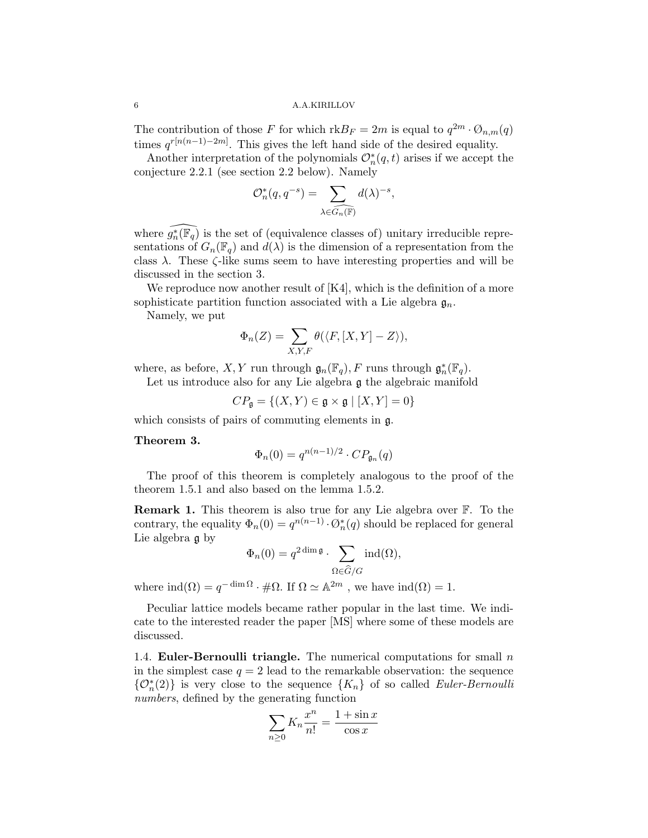The contribution of those F for which  $\text{rk} B_F = 2m$  is equal to  $q^{2m} \cdot \mathcal{O}_{n,m}(q)$ times  $q^{r[n(n-1)-2m]}$ . This gives the left hand side of the desired equality.

Another interpretation of the polynomials  $\mathcal{O}_n^*(q,t)$  arises if we accept the conjecture 2.2.1 (see section 2.2 below). Namely

$$
\mathcal{O}_n^*(q, q^{-s}) = \sum_{\lambda \in \widehat{G_n}(\mathbb{F})} d(\lambda)^{-s},
$$

where  $\widehat{g_n^*(\mathbb{F}_q)}$  is the set of (equivalence classes of) unitary irreducible representations of  $G_n(\mathbb{F}_q)$  and  $d(\lambda)$  is the dimension of a representation from the class  $\lambda$ . These  $\zeta$ -like sums seem to have interesting properties and will be discussed in the section 3.

We reproduce now another result of [K4], which is the definition of a more sophisticate partition function associated with a Lie algebra  $\mathfrak{g}_n$ .

Namely, we put

$$
\Phi_n(Z) = \sum_{X,Y,F} \theta(\langle F, [X,Y] - Z \rangle),
$$

where, as before, X, Y run through  $\mathfrak{g}_n(\mathbb{F}_q)$ , F runs through  $\mathfrak{g}_n^*(\mathbb{F}_q)$ .

Let us introduce also for any Lie algebra g the algebraic manifold

 $CP_{\mathfrak{a}} = \{(X, Y) \in \mathfrak{g} \times \mathfrak{g} \mid [X, Y] = 0\}$ 

which consists of pairs of commuting elements in g.

### Theorem 3.

$$
\Phi_n(0) = q^{n(n-1)/2} \cdot CP_{\mathfrak{g}_n}(q)
$$

The proof of this theorem is completely analogous to the proof of the theorem 1.5.1 and also based on the lemma 1.5.2.

Remark 1. This theorem is also true for any Lie algebra over F. To the contrary, the equality  $\Phi_n(0) = q^{n(n-1)} \cdot \mathcal{O}_n^*(q)$  should be replaced for general Lie algebra g by

$$
\Phi_n(0) = q^{2 \dim \mathfrak{g}} \cdot \sum_{\Omega \in \widehat{G}/G} \operatorname{ind}(\Omega),
$$

where  $\text{ind}(\Omega) = q^{-\dim \Omega} \cdot \text{d}\Omega$ . If  $\Omega \simeq \mathbb{A}^{2m}$ , we have  $\text{ind}(\Omega) = 1$ .

Peculiar lattice models became rather popular in the last time. We indicate to the interested reader the paper [MS] where some of these models are discussed.

1.4. Euler-Bernoulli triangle. The numerical computations for small  $n$ in the simplest case  $q = 2$  lead to the remarkable observation: the sequence  $\{\mathcal{O}_n^*(2)\}\$ is very close to the sequence  $\{K_n\}$  of so called Euler-Bernoulli numbers, defined by the generating function

$$
\sum_{n\geq 0} K_n \frac{x^n}{n!} = \frac{1 + \sin x}{\cos x}
$$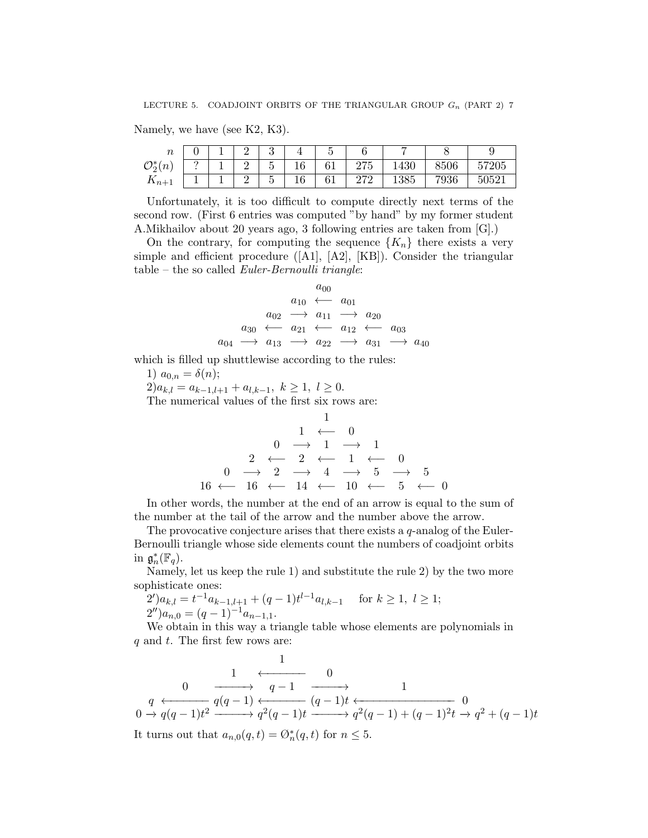Namely, we have (see K2, K3).

| $\sim$<br>7 t                            |   |        | $\Omega$<br>ບ                   |                               |                |                               |      |      | ັ      |
|------------------------------------------|---|--------|---------------------------------|-------------------------------|----------------|-------------------------------|------|------|--------|
| $\mathcal{O}_2^*$<br>$\langle n \rangle$ | ິ | ົ      | $\tilde{\phantom{a}}$<br>r<br>◡ | $\overline{1}$ $\overline{0}$ | $\sim$ 1<br>◡∸ | $\sim$ $\sim$ $\sim$<br>4 I J | 1430 | 8506 | 57205  |
| $\mathbf{u}_{n+1}$                       |   | ົ<br>- | $\tilde{}$<br>◡                 | 10 <sup>o</sup><br>10         | $\sim$ 1<br>◡▴ | 270<br>212                    | 1385 | 7936 | -50521 |

Unfortunately, it is too difficult to compute directly next terms of the second row. (First 6 entries was computed "by hand" by my former student A.Mikhailov about 20 years ago, 3 following entries are taken from [G].)

On the contrary, for computing the sequence  ${K_n}$  there exists a very simple and efficient procedure ([A1], [A2], [KB]). Consider the triangular  $table - the so called Euler-Bernoulli triangle:$ 

$$
a_{00}\n a_{01}\n \xrightarrow{a_{00}} a_{01}\n a_{02}\n \xrightarrow{a_{10}} a_{11}\n \xrightarrow{a_{20}} a_{21}\n \xleftarrow{a_{12}} a_{03}\n a_{04}\n \xrightarrow{a_{13}} a_{22}\n \xrightarrow{a_{21}} a_{31}\n \xrightarrow{a_{40}}
$$

which is filled up shuttlewise according to the rules:

1)  $a_{0,n} = \delta(n);$  $2)a_{k,l} = a_{k-1,l+1} + a_{l,k-1}, k \geq 1, l \geq 0.$ The numerical values of the first six rows are:

1 1 ←− 0 0 −→ 1 −→ 1 2 ←− 2 ←− 1 ←− 0 0 −→ 2 −→ 4 −→ 5 −→ 5 16 ←− 16 ←− 14 ←− 10 ←− 5 ←− 0

In other words, the number at the end of an arrow is equal to the sum of the number at the tail of the arrow and the number above the arrow.

The provocative conjecture arises that there exists a  $q$ -analog of the Euler-Bernoulli triangle whose side elements count the numbers of coadjoint orbits in  $\mathfrak{g}_n^*(\mathbb{F}_q)$ .

Namely, let us keep the rule 1) and substitute the rule 2) by the two more sophisticate ones:

$$
2')a_{k,l} = t^{-1}a_{k-1,l+1} + (q-1)t^{l-1}a_{l,k-1} \quad \text{for } k \ge 1, l \ge 1;
$$
  

$$
2'')a_{n,0} = (q-1)^{-1}a_{n-1,1}.
$$

We obtain in this way a triangle table whose elements are polynomials in  $q$  and  $t$ . The first few rows are:

1 1 ←−−−−−− 0 0 −−−−−→ q − 1 −−−−−→ 1 q ←−−−−−− q(q − 1) ←−−−−−− (q − 1)t ←−−−−−−−−−−−−−−− 0 0 −→ q(q − 1)t <sup>2</sup> −−−−−→ q 2 (q − 1)t −−−−−→ q 2 (q − 1) + (q − 1)<sup>2</sup> t −→ q <sup>2</sup> + (q − 1)t It turns out that an,0(q, t) = Ø<sup>∗</sup> n (q, t) for n ≤ 5.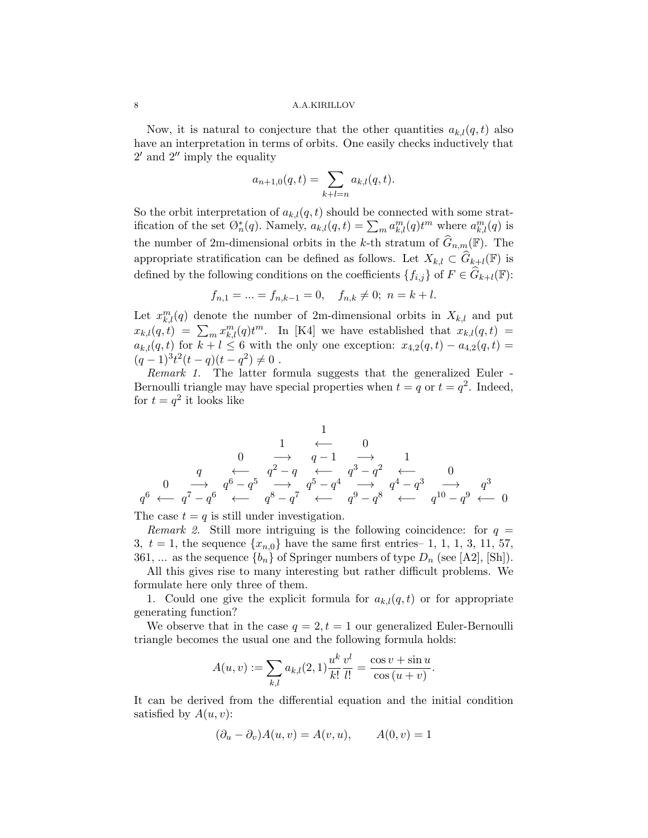Now, it is natural to conjecture that the other quantities  $a_{k,l}(q,t)$  also have an interpretation in terms of orbits. One easily checks inductively that  $2'$  and  $2''$  imply the equality

$$
a_{n+1,0}(q,t) = \sum_{k+l=n} a_{k,l}(q,t).
$$

So the orbit interpretation of  $a_{k,l}(q,t)$  should be connected with some stratification of the set  $\mathcal{O}_n^*(q)$ . Namely,  $a_{k,l}(q,t) = \sum_m a_{k,l}^m(q) t^m$  where  $a_{k,l}^m(q)$  is the number of 2m-dimensional orbits in the k-th stratum of  $\widehat{G}_{n,m}(\mathbb{F})$ . The appropriate stratification can be defined as follows. Let  $X_{k,l} \subset \widehat{G}_{k+l}(\mathbb{F})$  is defined by the following conditions on the coefficients  $\{f_{i,j}\}\$  of  $F\in \hat{G}_{k+l}(\mathbb{F})$ :

$$
f_{n,1} = \dots = f_{n,k-1} = 0, \quad f_{n,k} \neq 0; \ n = k+l.
$$

Let  $x_{k,l}^m(q)$  denote the number of 2m-dimensional orbits in  $X_{k,l}$  and put  $x_{k,l}(q,t) = \sum_m x_{k,l}^m(q)t^m$ . In [K4] we have established that  $x_{k,l}(q,t) =$  $a_{k,l}(q,t)$  for  $k+l \leq 6$  with the only one exception:  $x_{4,2}(q,t) - a_{4,2}(q,t) =$  $(q-1)^3t^2(t-q)(t-q^2)\neq 0$ .

Remark 1. The latter formula suggests that the generalized Euler - Bernoulli triangle may have special properties when  $t = q$  or  $t = q^2$ . Indeed, for  $t = q^2$  it looks like

1 1 ←− 0 0 −→ q − 1 −→ 1 q ←− q <sup>2</sup> − q ←− q <sup>3</sup> − q <sup>2</sup> ←− 0 0 −→ q <sup>6</sup> − q <sup>5</sup> −→ q <sup>5</sup> − q <sup>4</sup> −→ q <sup>4</sup> − q <sup>3</sup> −→ q 3 q <sup>6</sup> ←− q <sup>7</sup> − q <sup>6</sup> ←− q <sup>8</sup> − q <sup>7</sup> ←− q <sup>9</sup> − q <sup>8</sup> ←− q <sup>10</sup> − q <sup>9</sup> ←− 0

The case  $t = q$  is still under investigation.

Remark 2. Still more intriguing is the following coincidence: for  $q =$ 3,  $t = 1$ , the sequence  $\{x_{n,0}\}$  have the same first entries– 1, 1, 1, 3, 11, 57, 361, ... as the sequence  $\{b_n\}$  of Springer numbers of type  $D_n$  (see [A2], [Sh]).

All this gives rise to many interesting but rather difficult problems. We formulate here only three of them.

1. Could one give the explicit formula for  $a_{k,l}(q,t)$  or for appropriate generating function?

We observe that in the case  $q = 2, t = 1$  our generalized Euler-Bernoulli triangle becomes the usual one and the following formula holds:

$$
A(u, v) := \sum_{k,l} a_{k,l}(2, 1) \frac{u^k v^l}{k! l!} = \frac{\cos v + \sin u}{\cos (u + v)}.
$$

It can be derived from the differential equation and the initial condition satisfied by  $A(u, v)$ :

$$
(\partial_u - \partial_v)A(u, v) = A(v, u), \qquad A(0, v) = 1
$$